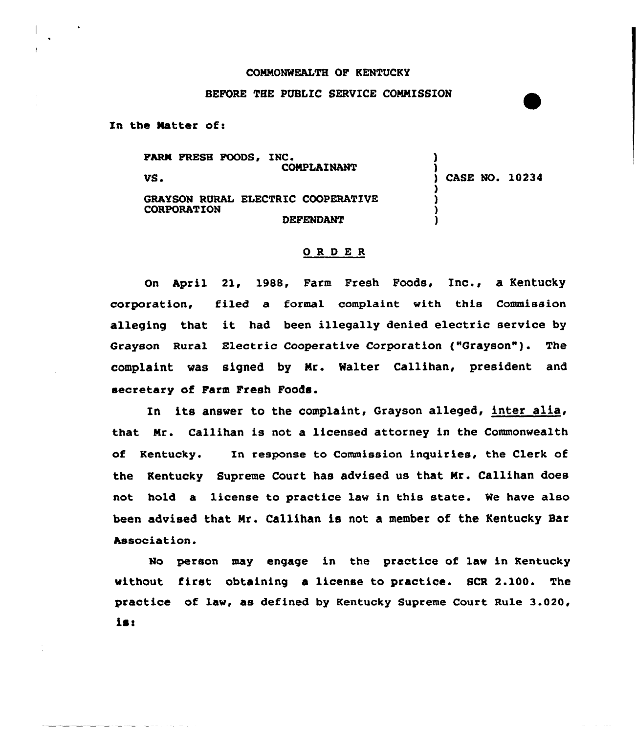## CONNONWEALTH OF KENTUCKY

## BEFORE THE PUBLIC SERVICE CONNISSION

In the Natter of:

FARM FRESH FOODS, INC. CONPLAINANT VS GRAYSON RURAL ELECTRIC COOPERATIVE CORPORATION DEFENDANT ) ) ) CASE NO. 10234 ) ) ) )

## ORDER

On April 21, 1988, Farm Fresh Foods, Inc., a Kentucky corporation, filed a formal complaint with this Commission alleging that it had. been illegally denied electric service by Grayson Rura1 Electric Cooperative Corporation ("Grayson" ). The complaint was signed by Nr. Walter Callihan, president and secretary of Farm Fresh Foods.

In its answer to the complaint, Grayson alleged, inter alia, that Nr. Callihan is not a licensed attorney in the Commonwealth of Kentucky. In response to Commission inquiries, the Clerk of the Kentucky Supreme Court has advised us that Nr. Callihan does not hald a license to practice law in this state. We have also been advised that Nr. Callihan is not a member of the Kentucky Sar Association.

No person may engage in the practice of law in Kentucky without first obtaining a license to practice. SCR 2.100. The practice of law, as defined by Kentucky Supreme Court Rule 3.020, is!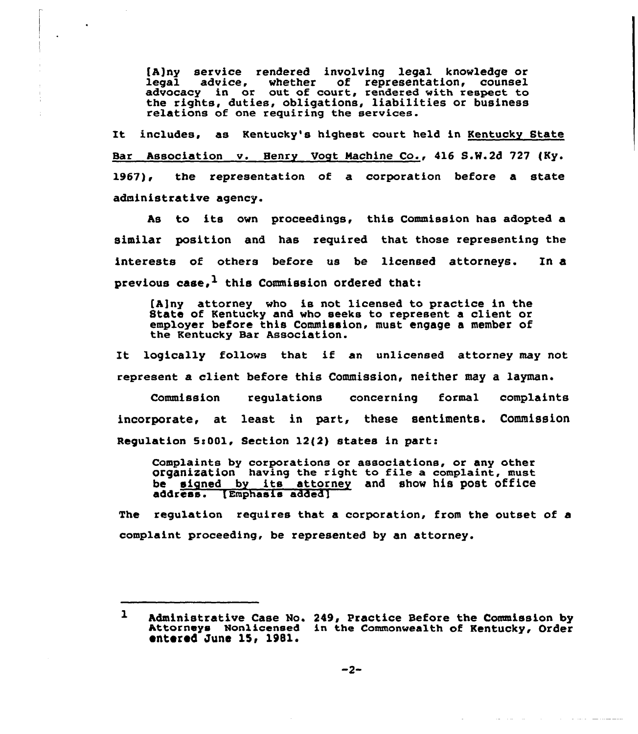[A)ny service rendered involving legal knowledge or legal advice, whether of representation, counsel advacacy in or out of court, rendered with respect to the rights, duties, obligations, liabilities or business relations of one requiring the services.

It includes, as Kentucky's highest court held in Kentucky State Bar Association v. Henry Vogt Machine Co., 416 S.N.2d 727 (Ky. 1967), the representation of a corporation before a state administrative agency.

As to its own proceedings, this Commission has adopted a similar position and. has required that those representing the interests of others befoxe us be licensed attorneys. In a previous case,  $1$  this Commission ordered that:

[A)ny attorney who ie not licensed to practice in the State of Kentucky and who seeks to represent a client or employer before this Commission, must engage a member of the Kentucky Bar Association.

It logically follows that if an unlicensed attorney may not represent a client befare this Commission, neither may a layman.

Commission regulations concerning formal complaints incorporate, at least in part, these sentiments. Commission Regulation 5c001, Section 12(2) states in part:

Complaints by corporations or associations, or any other organisation having the right to file a complaint, must be signed by its attorney and show his post office address. [Emphasis added]

The regulation requires that a corporation, from the outset of a complaint proceeding, be represented by an attorney.

فتستستنسخ والمتحدث والمرادي والمرادي والمتحدث

 $\mathbf{1}$ Administrative Case No. 249, Practice Before the Commission by Attorneys Nonlicensed in the Commonwealth of Kentucky, Order entered June 15, 1981.